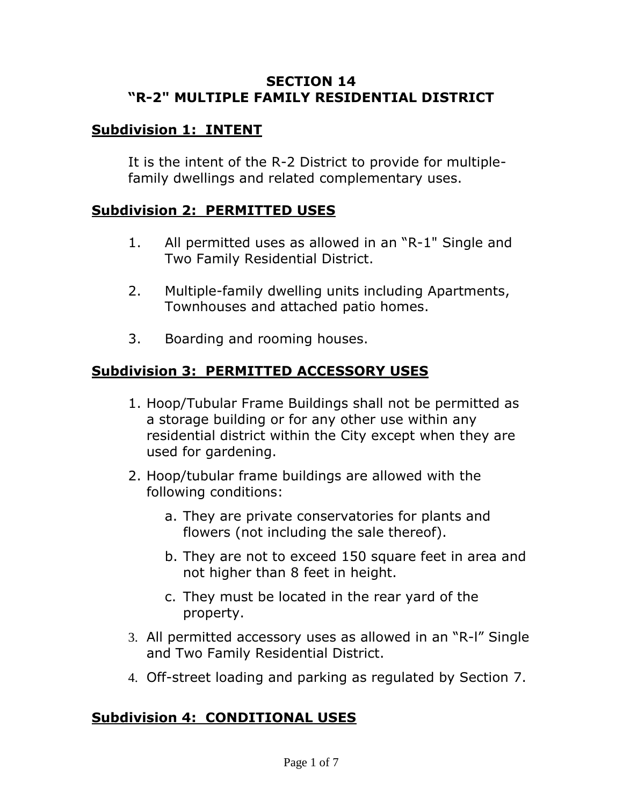#### **SECTION 14 "R-2" MULTIPLE FAMILY RESIDENTIAL DISTRICT**

# **Subdivision 1: INTENT**

It is the intent of the R-2 District to provide for multiplefamily dwellings and related complementary uses.

### **Subdivision 2: PERMITTED USES**

- 1. All permitted uses as allowed in an "R-1" Single and Two Family Residential District.
- 2. Multiple-family dwelling units including Apartments, Townhouses and attached patio homes.
- 3. Boarding and rooming houses.

### **Subdivision 3: PERMITTED ACCESSORY USES**

- 1. Hoop/Tubular Frame Buildings shall not be permitted as a storage building or for any other use within any residential district within the City except when they are used for gardening.
- 2. Hoop/tubular frame buildings are allowed with the following conditions:
	- a. They are private conservatories for plants and flowers (not including the sale thereof).
	- b. They are not to exceed 150 square feet in area and not higher than 8 feet in height.
	- c. They must be located in the rear yard of the property.
- 3. All permitted accessory uses as allowed in an "R-l" Single and Two Family Residential District.
- 4. Off-street loading and parking as regulated by Section 7.

# **Subdivision 4: CONDITIONAL USES**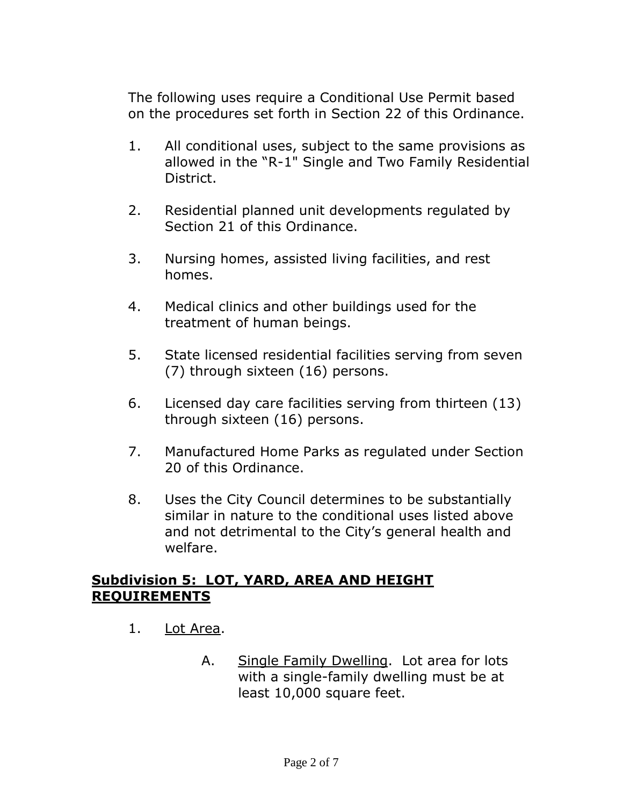The following uses require a Conditional Use Permit based on the procedures set forth in Section 22 of this Ordinance.

- 1. All conditional uses, subject to the same provisions as allowed in the "R-1" Single and Two Family Residential District.
- 2. Residential planned unit developments regulated by Section 21 of this Ordinance.
- 3. Nursing homes, assisted living facilities, and rest homes.
- 4. Medical clinics and other buildings used for the treatment of human beings.
- 5. State licensed residential facilities serving from seven (7) through sixteen (16) persons.
- 6. Licensed day care facilities serving from thirteen (13) through sixteen (16) persons.
- 7. Manufactured Home Parks as regulated under Section 20 of this Ordinance.
- 8. Uses the City Council determines to be substantially similar in nature to the conditional uses listed above and not detrimental to the City's general health and welfare.

#### **Subdivision 5: LOT, YARD, AREA AND HEIGHT REQUIREMENTS**

- 1. Lot Area.
	- A. Single Family Dwelling. Lot area for lots with a single-family dwelling must be at least 10,000 square feet.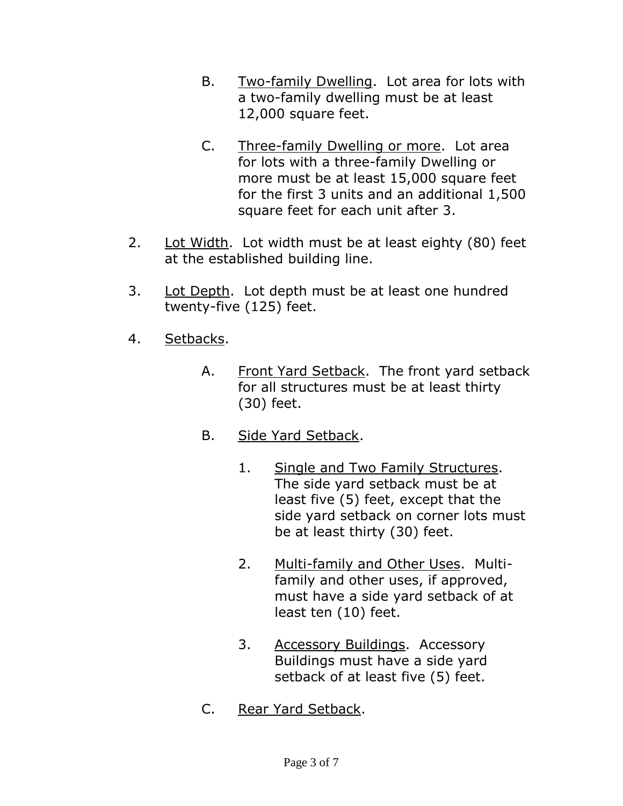- B. Two-family Dwelling. Lot area for lots with a two-family dwelling must be at least 12,000 square feet.
- C. Three-family Dwelling or more. Lot area for lots with a three-family Dwelling or more must be at least 15,000 square feet for the first 3 units and an additional 1,500 square feet for each unit after 3.
- 2. Lot Width. Lot width must be at least eighty (80) feet at the established building line.
- 3. Lot Depth. Lot depth must be at least one hundred twenty-five (125) feet.
- 4. Setbacks.
	- A. Front Yard Setback. The front yard setback for all structures must be at least thirty (30) feet.
	- B. Side Yard Setback.
		- 1. Single and Two Family Structures. The side yard setback must be at least five (5) feet, except that the side yard setback on corner lots must be at least thirty (30) feet.
		- 2. Multi-family and Other Uses. Multifamily and other uses, if approved, must have a side yard setback of at least ten (10) feet.
		- 3. Accessory Buildings. Accessory Buildings must have a side yard setback of at least five (5) feet.
	- C. Rear Yard Setback.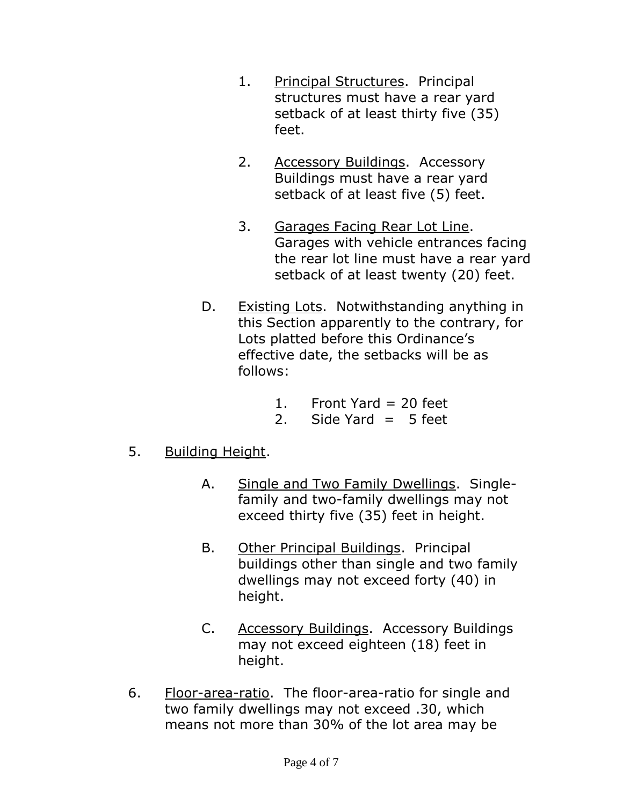- 1. Principal Structures. Principal structures must have a rear yard setback of at least thirty five (35) feet.
- 2. Accessory Buildings. Accessory Buildings must have a rear yard setback of at least five (5) feet.
- 3. Garages Facing Rear Lot Line. Garages with vehicle entrances facing the rear lot line must have a rear yard setback of at least twenty (20) feet.
- D. Existing Lots. Notwithstanding anything in this Section apparently to the contrary, for Lots platted before this Ordinance's effective date, the setbacks will be as follows:
	- 1. Front Yard = 20 feet
	- 2. Side Yard  $= 5$  feet
- 5. Building Height.
	- A. Single and Two Family Dwellings. Singlefamily and two-family dwellings may not exceed thirty five (35) feet in height.
	- B. Other Principal Buildings. Principal buildings other than single and two family dwellings may not exceed forty (40) in height.
	- C. Accessory Buildings. Accessory Buildings may not exceed eighteen (18) feet in height.
- 6. Floor-area-ratio. The floor-area-ratio for single and two family dwellings may not exceed .30, which means not more than 30% of the lot area may be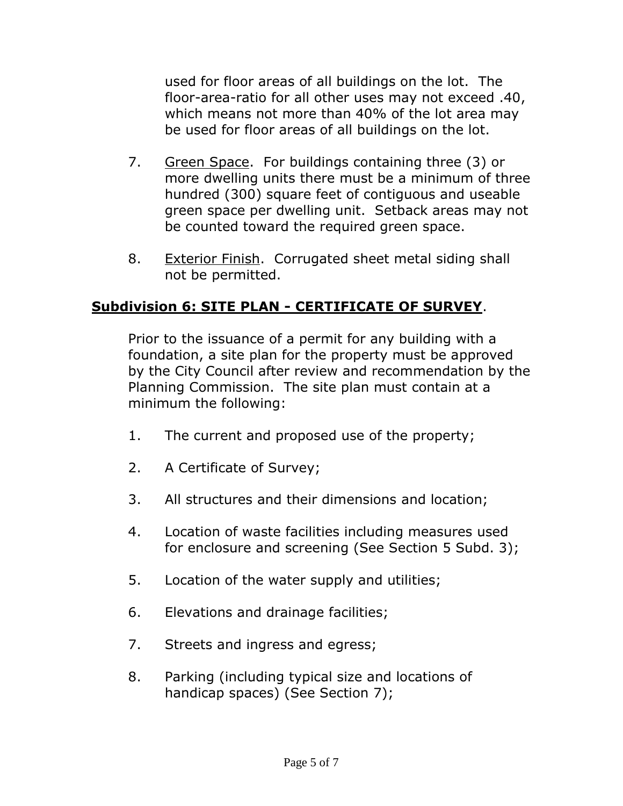used for floor areas of all buildings on the lot. The floor-area-ratio for all other uses may not exceed .40, which means not more than 40% of the lot area may be used for floor areas of all buildings on the lot.

- 7. Green Space. For buildings containing three (3) or more dwelling units there must be a minimum of three hundred (300) square feet of contiguous and useable green space per dwelling unit. Setback areas may not be counted toward the required green space.
- 8. Exterior Finish. Corrugated sheet metal siding shall not be permitted.

### **Subdivision 6: SITE PLAN - CERTIFICATE OF SURVEY**.

Prior to the issuance of a permit for any building with a foundation, a site plan for the property must be approved by the City Council after review and recommendation by the Planning Commission. The site plan must contain at a minimum the following:

- 1. The current and proposed use of the property;
- 2. A Certificate of Survey;
- 3. All structures and their dimensions and location;
- 4. Location of waste facilities including measures used for enclosure and screening (See Section 5 Subd. 3);
- 5. Location of the water supply and utilities;
- 6. Elevations and drainage facilities;
- 7. Streets and ingress and egress;
- 8. Parking (including typical size and locations of handicap spaces) (See Section 7);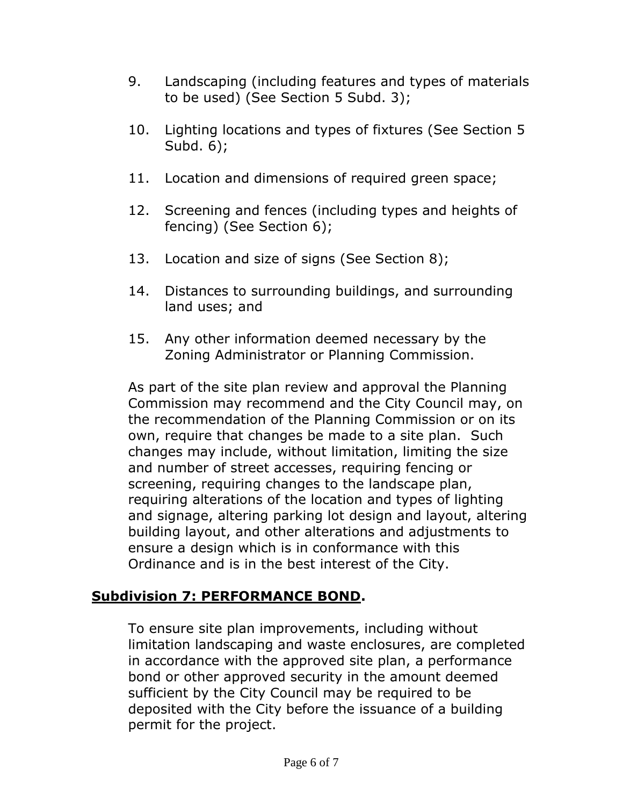- 9. Landscaping (including features and types of materials to be used) (See Section 5 Subd. 3);
- 10. Lighting locations and types of fixtures (See Section 5 Subd. 6);
- 11. Location and dimensions of required green space;
- 12. Screening and fences (including types and heights of fencing) (See Section 6);
- 13. Location and size of signs (See Section 8);
- 14. Distances to surrounding buildings, and surrounding land uses; and
- 15. Any other information deemed necessary by the Zoning Administrator or Planning Commission.

As part of the site plan review and approval the Planning Commission may recommend and the City Council may, on the recommendation of the Planning Commission or on its own, require that changes be made to a site plan. Such changes may include, without limitation, limiting the size and number of street accesses, requiring fencing or screening, requiring changes to the landscape plan, requiring alterations of the location and types of lighting and signage, altering parking lot design and layout, altering building layout, and other alterations and adjustments to ensure a design which is in conformance with this Ordinance and is in the best interest of the City.

# **Subdivision 7: PERFORMANCE BOND.**

To ensure site plan improvements, including without limitation landscaping and waste enclosures, are completed in accordance with the approved site plan, a performance bond or other approved security in the amount deemed sufficient by the City Council may be required to be deposited with the City before the issuance of a building permit for the project.